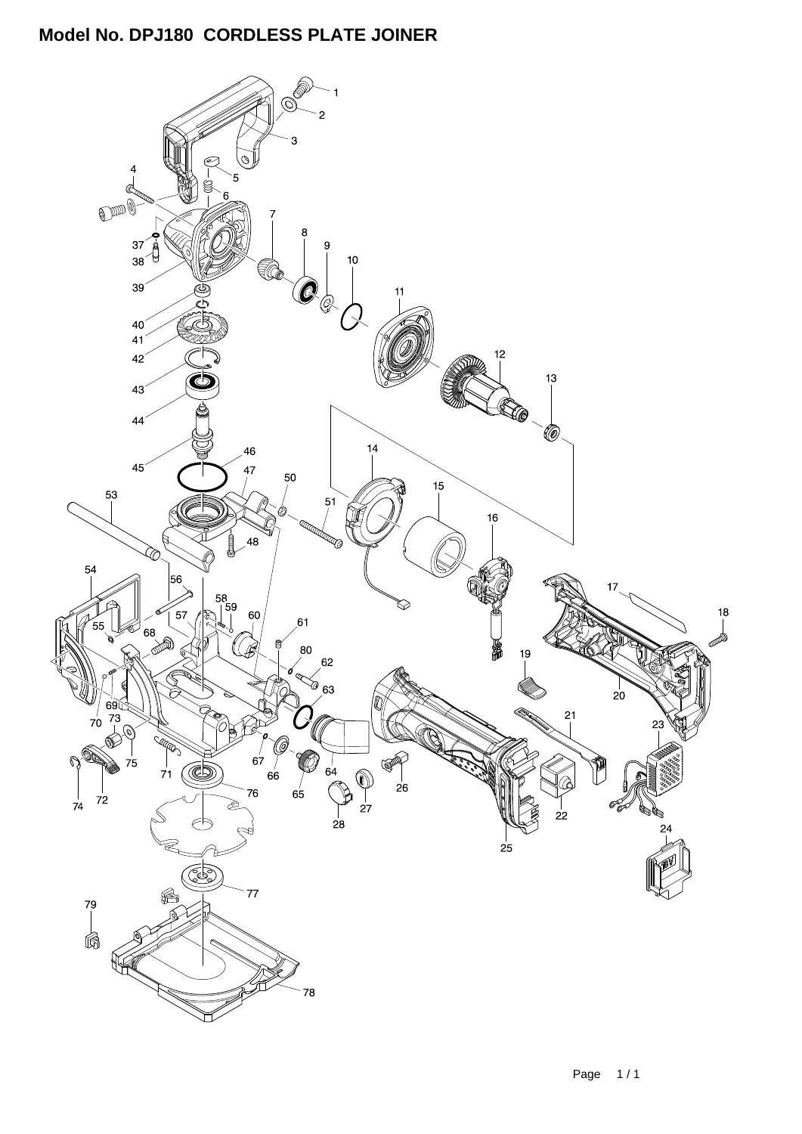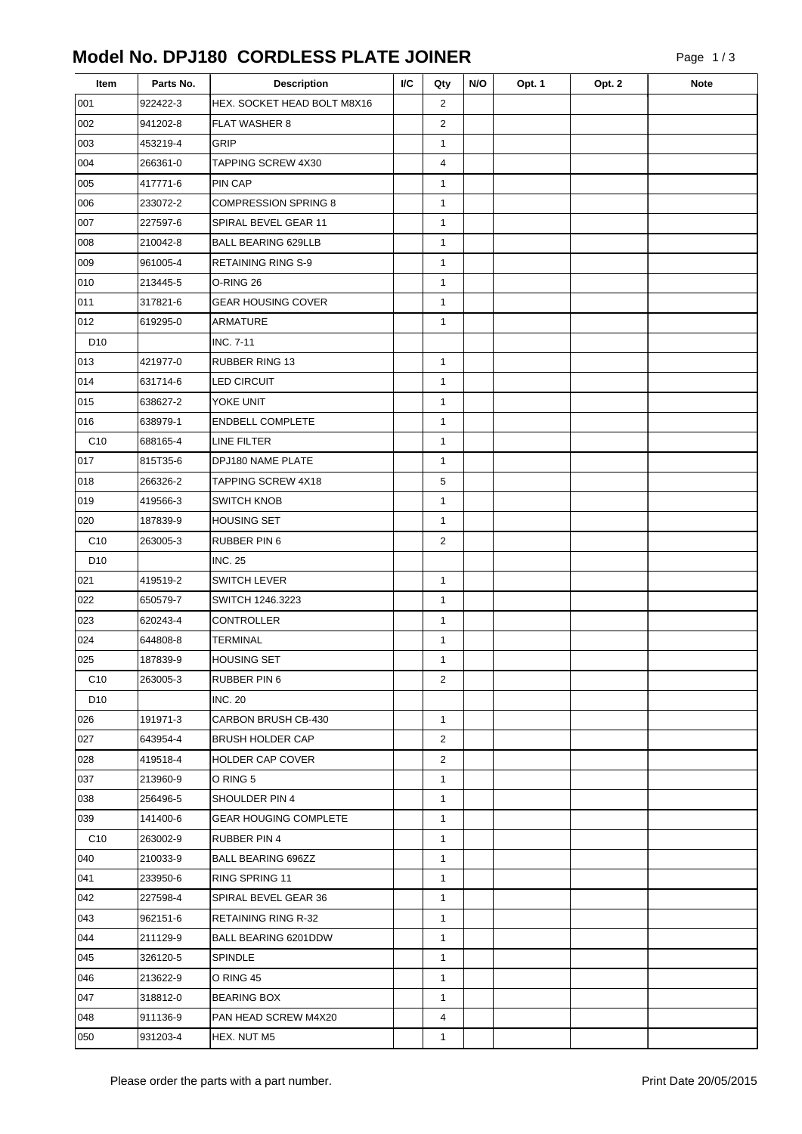| Item            | Parts No. | <b>Description</b>           | I/C | Qty            | N/O | Opt. 1 | Opt. 2 | <b>Note</b> |
|-----------------|-----------|------------------------------|-----|----------------|-----|--------|--------|-------------|
| 001             | 922422-3  | HEX. SOCKET HEAD BOLT M8X16  |     | $\overline{2}$ |     |        |        |             |
| 002             | 941202-8  | <b>FLAT WASHER 8</b>         |     | $\overline{2}$ |     |        |        |             |
| 003             | 453219-4  | <b>GRIP</b>                  |     | $\mathbf{1}$   |     |        |        |             |
| 004             | 266361-0  | TAPPING SCREW 4X30           |     | 4              |     |        |        |             |
| 005             | 417771-6  | PIN CAP                      |     | $\mathbf{1}$   |     |        |        |             |
| 006             | 233072-2  | <b>COMPRESSION SPRING 8</b>  |     | $\mathbf{1}$   |     |        |        |             |
| 007             | 227597-6  | SPIRAL BEVEL GEAR 11         |     | $\mathbf{1}$   |     |        |        |             |
| 008             | 210042-8  | <b>BALL BEARING 629LLB</b>   |     | $\mathbf{1}$   |     |        |        |             |
| 009             | 961005-4  | <b>RETAINING RING S-9</b>    |     | $\mathbf{1}$   |     |        |        |             |
| 010             | 213445-5  | O-RING 26                    |     | $\mathbf{1}$   |     |        |        |             |
| 011             | 317821-6  | <b>GEAR HOUSING COVER</b>    |     | $\mathbf{1}$   |     |        |        |             |
| 012             | 619295-0  | <b>ARMATURE</b>              |     | $\mathbf{1}$   |     |        |        |             |
| D10             |           | <b>INC. 7-11</b>             |     |                |     |        |        |             |
| 013             | 421977-0  | RUBBER RING 13               |     | $\mathbf{1}$   |     |        |        |             |
| 014             | 631714-6  | <b>LED CIRCUIT</b>           |     | $\mathbf{1}$   |     |        |        |             |
| 015             | 638627-2  | YOKE UNIT                    |     | $\mathbf{1}$   |     |        |        |             |
| 016             | 638979-1  | <b>ENDBELL COMPLETE</b>      |     | $\mathbf{1}$   |     |        |        |             |
| C <sub>10</sub> | 688165-4  | LINE FILTER                  |     | $\mathbf{1}$   |     |        |        |             |
| 017             | 815T35-6  | DPJ180 NAME PLATE            |     | $\mathbf{1}$   |     |        |        |             |
| 018             | 266326-2  | <b>TAPPING SCREW 4X18</b>    |     | 5              |     |        |        |             |
| 019             | 419566-3  | <b>SWITCH KNOB</b>           |     | $\mathbf{1}$   |     |        |        |             |
| 020             | 187839-9  | <b>HOUSING SET</b>           |     | $\mathbf{1}$   |     |        |        |             |
| C <sub>10</sub> | 263005-3  | RUBBER PIN 6                 |     | $\overline{2}$ |     |        |        |             |
| D <sub>10</sub> |           | <b>INC. 25</b>               |     |                |     |        |        |             |
| 021             | 419519-2  | <b>SWITCH LEVER</b>          |     | $\mathbf{1}$   |     |        |        |             |
| 022             | 650579-7  | SWITCH 1246.3223             |     | $\mathbf{1}$   |     |        |        |             |
| 023             | 620243-4  | CONTROLLER                   |     | $\mathbf{1}$   |     |        |        |             |
| 024             | 644808-8  | <b>TERMINAL</b>              |     | $\mathbf{1}$   |     |        |        |             |
| 025             | 187839-9  | <b>HOUSING SET</b>           |     | $\mathbf{1}$   |     |        |        |             |
| C <sub>10</sub> | 263005-3  | <b>RUBBER PIN 6</b>          |     | $\overline{c}$ |     |        |        |             |
| D <sub>10</sub> |           | <b>INC. 20</b>               |     |                |     |        |        |             |
| 026             | 191971-3  | CARBON BRUSH CB-430          |     | $\mathbf{1}$   |     |        |        |             |
| 027             | 643954-4  | <b>BRUSH HOLDER CAP</b>      |     | $\overline{2}$ |     |        |        |             |
| 028             | 419518-4  | HOLDER CAP COVER             |     | $\overline{2}$ |     |        |        |             |
| 037             | 213960-9  | O RING 5                     |     | $\mathbf{1}$   |     |        |        |             |
| 038             | 256496-5  | SHOULDER PIN 4               |     | $\mathbf{1}$   |     |        |        |             |
| 039             | 141400-6  | <b>GEAR HOUGING COMPLETE</b> |     | $\mathbf{1}$   |     |        |        |             |
| C <sub>10</sub> | 263002-9  | RUBBER PIN 4                 |     | $\mathbf{1}$   |     |        |        |             |
| 040             | 210033-9  | <b>BALL BEARING 696ZZ</b>    |     | $\mathbf{1}$   |     |        |        |             |
| 041             | 233950-6  | RING SPRING 11               |     | $\mathbf{1}$   |     |        |        |             |
| 042             | 227598-4  | SPIRAL BEVEL GEAR 36         |     | $\mathbf{1}$   |     |        |        |             |
| 043             | 962151-6  | <b>RETAINING RING R-32</b>   |     | $\mathbf{1}$   |     |        |        |             |
| 044             | 211129-9  | BALL BEARING 6201DDW         |     | $\mathbf{1}$   |     |        |        |             |
| 045             | 326120-5  | <b>SPINDLE</b>               |     | $\mathbf{1}$   |     |        |        |             |
| 046             | 213622-9  | O RING 45                    |     | $\mathbf{1}$   |     |        |        |             |
| 047             | 318812-0  | <b>BEARING BOX</b>           |     | $\mathbf{1}$   |     |        |        |             |
| 048             | 911136-9  | PAN HEAD SCREW M4X20         |     | 4              |     |        |        |             |
| 050             | 931203-4  | HEX. NUT M5                  |     | $\mathbf{1}$   |     |        |        |             |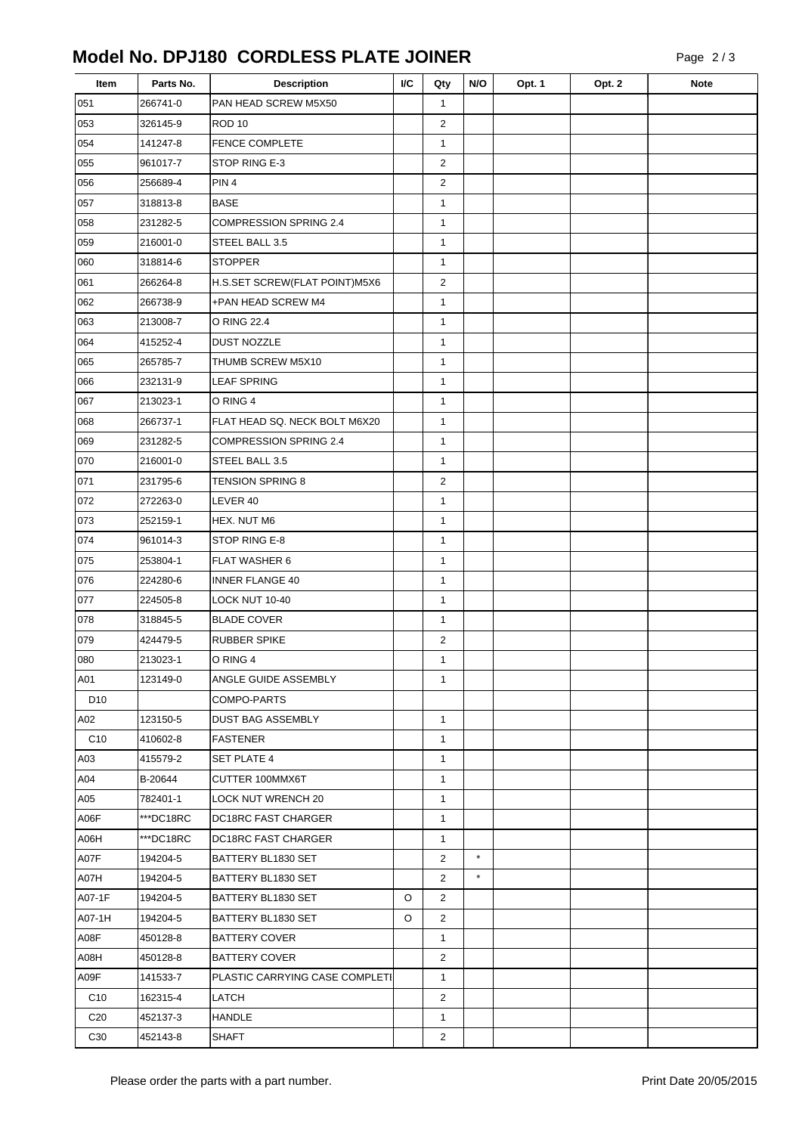| Item            | Parts No. | <b>Description</b>             | I/C | Qty            | N/O     | Opt. 1 | Opt. 2 | <b>Note</b> |
|-----------------|-----------|--------------------------------|-----|----------------|---------|--------|--------|-------------|
| 051             | 266741-0  | PAN HEAD SCREW M5X50           |     | $\mathbf{1}$   |         |        |        |             |
| 053             | 326145-9  | ROD <sub>10</sub>              |     | 2              |         |        |        |             |
| 054             | 141247-8  | <b>FENCE COMPLETE</b>          |     | $\mathbf{1}$   |         |        |        |             |
| 055             | 961017-7  | STOP RING E-3                  |     | $\overline{2}$ |         |        |        |             |
| 056             | 256689-4  | PIN <sub>4</sub>               |     | $\overline{2}$ |         |        |        |             |
| 057             | 318813-8  | <b>BASE</b>                    |     | 1              |         |        |        |             |
| 058             | 231282-5  | COMPRESSION SPRING 2.4         |     | $\mathbf{1}$   |         |        |        |             |
| 059             | 216001-0  | STEEL BALL 3.5                 |     | 1              |         |        |        |             |
| 060             | 318814-6  | <b>STOPPER</b>                 |     | $\mathbf{1}$   |         |        |        |             |
| 061             | 266264-8  | H.S.SET SCREW(FLAT POINT)M5X6  |     | $\overline{2}$ |         |        |        |             |
| 062             | 266738-9  | +PAN HEAD SCREW M4             |     | $\mathbf{1}$   |         |        |        |             |
| 063             | 213008-7  | O RING 22.4                    |     | 1              |         |        |        |             |
| 064             | 415252-4  | <b>DUST NOZZLE</b>             |     | $\mathbf{1}$   |         |        |        |             |
| 065             | 265785-7  | THUMB SCREW M5X10              |     | $\mathbf{1}$   |         |        |        |             |
| 066             | 232131-9  | <b>LEAF SPRING</b>             |     | 1              |         |        |        |             |
| 067             | 213023-1  | O RING 4                       |     | $\mathbf{1}$   |         |        |        |             |
| 068             | 266737-1  | FLAT HEAD SQ. NECK BOLT M6X20  |     | 1              |         |        |        |             |
| 069             | 231282-5  | <b>COMPRESSION SPRING 2.4</b>  |     | 1              |         |        |        |             |
| 070             | 216001-0  | STEEL BALL 3.5                 |     | 1              |         |        |        |             |
| 071             | 231795-6  | <b>TENSION SPRING 8</b>        |     | $\overline{2}$ |         |        |        |             |
| 072             | 272263-0  | LEVER 40                       |     | $\mathbf{1}$   |         |        |        |             |
| 073             | 252159-1  | HEX. NUT M6                    |     | $\mathbf{1}$   |         |        |        |             |
| 074             | 961014-3  | STOP RING E-8                  |     | $\mathbf{1}$   |         |        |        |             |
| 075             | 253804-1  | <b>FLAT WASHER 6</b>           |     | 1              |         |        |        |             |
| 076             | 224280-6  | <b>INNER FLANGE 40</b>         |     | 1              |         |        |        |             |
| 077             | 224505-8  | LOCK NUT 10-40                 |     | 1              |         |        |        |             |
| 078             | 318845-5  | <b>BLADE COVER</b>             |     | $\mathbf{1}$   |         |        |        |             |
| 079             | 424479-5  | <b>RUBBER SPIKE</b>            |     | 2              |         |        |        |             |
| 080             | 213023-1  | O RING 4                       |     | $\mathbf{1}$   |         |        |        |             |
| A01             | 123149-0  | ANGLE GUIDE ASSEMBLY           |     | 1              |         |        |        |             |
| D <sub>10</sub> |           | COMPO-PARTS                    |     |                |         |        |        |             |
| A02             | 123150-5  | <b>DUST BAG ASSEMBLY</b>       |     | $\mathbf{1}$   |         |        |        |             |
| C <sub>10</sub> | 410602-8  | <b>FASTENER</b>                |     | $\mathbf{1}$   |         |        |        |             |
| A03             | 415579-2  | SET PLATE 4                    |     | $\mathbf{1}$   |         |        |        |             |
| A04             | B-20644   | CUTTER 100MMX6T                |     | $\mathbf{1}$   |         |        |        |             |
| A05             | 782401-1  | <b>LOCK NUT WRENCH 20</b>      |     | $\mathbf{1}$   |         |        |        |             |
| A06F            | ***DC18RC | DC18RC FAST CHARGER            |     | $\mathbf{1}$   |         |        |        |             |
| A06H            | ***DC18RC | DC18RC FAST CHARGER            |     | $\mathbf{1}$   |         |        |        |             |
| A07F            | 194204-5  | BATTERY BL1830 SET             |     | $\overline{2}$ | $\star$ |        |        |             |
| A07H            | 194204-5  | BATTERY BL1830 SET             |     | $\overline{2}$ | $\star$ |        |        |             |
| A07-1F          | 194204-5  | BATTERY BL1830 SET             | O   | 2              |         |        |        |             |
| A07-1H          | 194204-5  | BATTERY BL1830 SET             | O   | 2              |         |        |        |             |
| A08F            | 450128-8  | <b>BATTERY COVER</b>           |     | $\mathbf{1}$   |         |        |        |             |
| A08H            | 450128-8  | BATTERY COVER                  |     | $\overline{2}$ |         |        |        |             |
| A09F            | 141533-7  | PLASTIC CARRYING CASE COMPLETI |     | $\mathbf{1}$   |         |        |        |             |
| C <sub>10</sub> | 162315-4  | LATCH                          |     | $\overline{2}$ |         |        |        |             |
| C <sub>20</sub> | 452137-3  | <b>HANDLE</b>                  |     | $\mathbf{1}$   |         |        |        |             |
| C30             | 452143-8  | <b>SHAFT</b>                   |     | $\overline{2}$ |         |        |        |             |